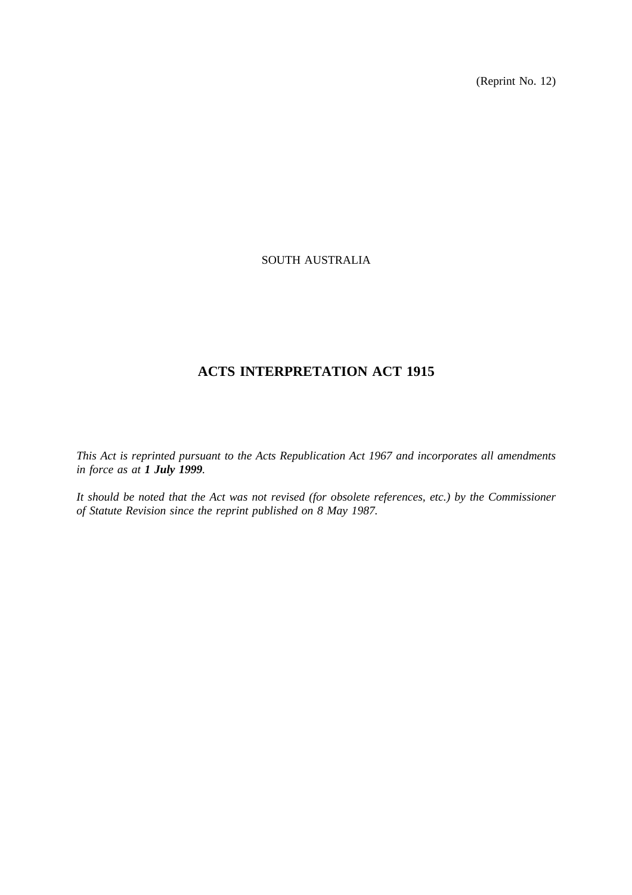(Reprint No. 12)

## SOUTH AUSTRALIA

## **ACTS INTERPRETATION ACT 1915**

*This Act is reprinted pursuant to the Acts Republication Act 1967 and incorporates all amendments in force as at 1 July 1999.*

*It should be noted that the Act was not revised (for obsolete references, etc.) by the Commissioner of Statute Revision since the reprint published on 8 May 1987.*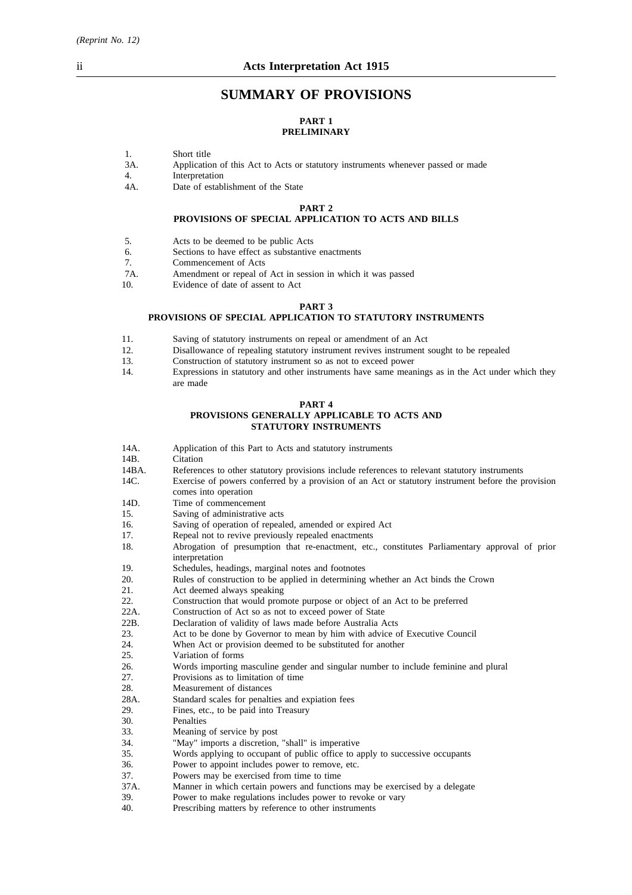*(Reprint No. 12)*

## **SUMMARY OF PROVISIONS**

#### **PART 1 PRELIMINARY**

- 1. Short title
- 3A. Application of this Act to Acts or statutory instruments whenever passed or made
- 4. Interpretation
- 4A. Date of establishment of the State

#### **PART 2 PROVISIONS OF SPECIAL APPLICATION TO ACTS AND BILLS**

- 5. Acts to be deemed to be public Acts
- 6. Sections to have effect as substantive enactments
- 7. Commencement of Acts
- 7A. Amendment or repeal of Act in session in which it was passed<br>10
- Evidence of date of assent to Act

#### **PART 3**

#### **PROVISIONS OF SPECIAL APPLICATION TO STATUTORY INSTRUMENTS**

- 11. Saving of statutory instruments on repeal or amendment of an Act
- 12. Disallowance of repealing statutory instrument revives instrument sought to be repealed
- 13. Construction of statutory instrument so as not to exceed power
- 14. Expressions in statutory and other instruments have same meanings as in the Act under which they are made

#### **PART 4 PROVISIONS GENERALLY APPLICABLE TO ACTS AND STATUTORY INSTRUMENTS**

- 14A. Application of this Part to Acts and statutory instruments 14B. Citation
- Citation
- 14BA. References to other statutory provisions include references to relevant statutory instruments
- 14C. Exercise of powers conferred by a provision of an Act or statutory instrument before the provision comes into operation
- 14D. Time of commencement
- 15. Saving of administrative acts
- 16. Saving of operation of repealed, amended or expired Act
- 17. Repeal not to revive previously repealed enactments
- 18. Abrogation of presumption that re-enactment, etc., constitutes Parliamentary approval of prior interpretation
- 19. Schedules, headings, marginal notes and footnotes
- 20. Rules of construction to be applied in determining whether an Act binds the Crown
- 21. Act deemed always speaking<br>22 Construction that would pron
- Construction that would promote purpose or object of an Act to be preferred
- 22A. Construction of Act so as not to exceed power of State
- 22B. Declaration of validity of laws made before Australia Acts
- 23. Act to be done by Governor to mean by him with advice of Executive Council
- 24. When Act or provision deemed to be substituted for another
- 25. Variation of forms
- 26. Words importing masculine gender and singular number to include feminine and plural
- 27. Provisions as to limitation of time
- 28. Measurement of distances
- 28A. Standard scales for penalties and expiation fees
- 29. Fines, etc., to be paid into Treasury
- 30. Penalties<br>33. Meaning
- Meaning of service by post
- 34. "May" imports a discretion, "shall" is imperative
- 35. Words applying to occupant of public office to apply to successive occupants<br>36. Power to appoint includes nower to remove, etc.
- 36. Power to appoint includes power to remove, etc.<br>37. Powers may be exercised from time to time
- Powers may be exercised from time to time
- 37A. Manner in which certain powers and functions may be exercised by a delegate 39. Power to make regulations includes power to revoke or vary
- 39. Power to make regulations includes power to revoke or vary<br>40. Prescribing matters by reference to other instruments
- Prescribing matters by reference to other instruments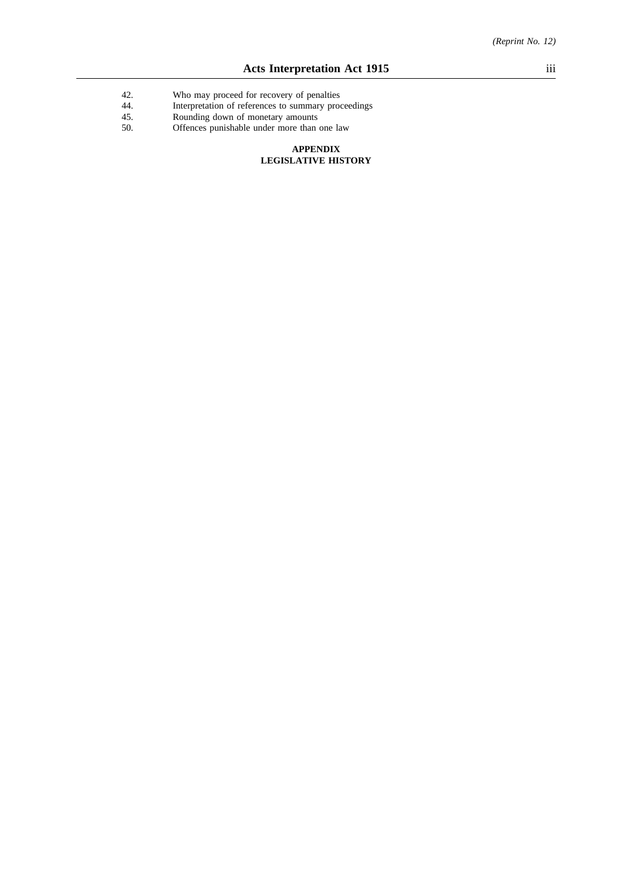- 42. Who may proceed for recovery of penalties
- 44. Interpretation of references to summary proceedings
- 45. Rounding down of monetary amounts
- 50. Offences punishable under more than one law

#### **APPENDIX LEGISLATIVE HISTORY**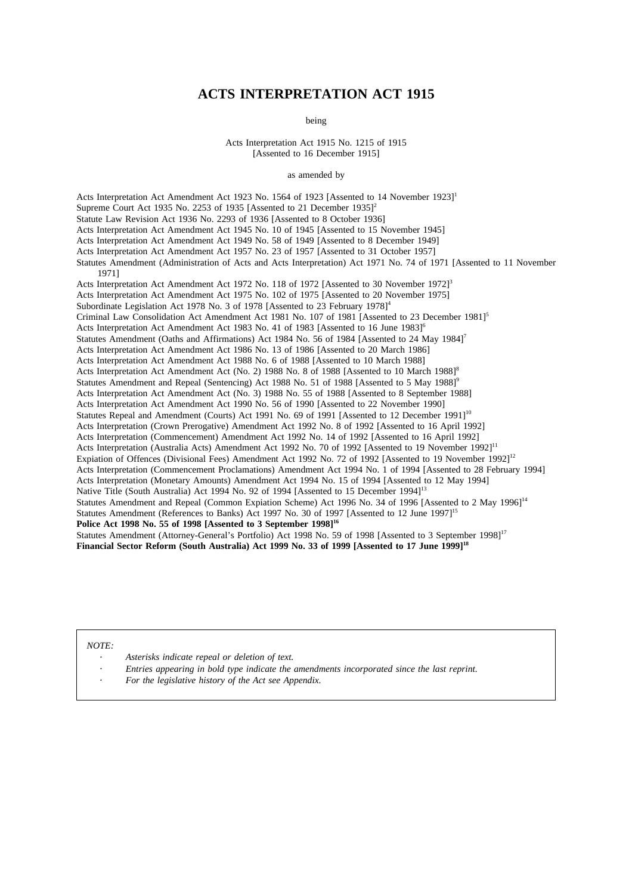## **ACTS INTERPRETATION ACT 1915**

being

Acts Interpretation Act 1915 No. 1215 of 1915 [Assented to 16 December 1915]

as amended by

Acts Interpretation Act Amendment Act 1923 No. 1564 of 1923 [Assented to 14 November 1923]1 Supreme Court Act 1935 No. 2253 of 1935 [Assented to 21 December 1935]<sup>2</sup> Statute Law Revision Act 1936 No. 2293 of 1936 [Assented to 8 October 1936] Acts Interpretation Act Amendment Act 1945 No. 10 of 1945 [Assented to 15 November 1945] Acts Interpretation Act Amendment Act 1949 No. 58 of 1949 [Assented to 8 December 1949] Acts Interpretation Act Amendment Act 1957 No. 23 of 1957 [Assented to 31 October 1957] Statutes Amendment (Administration of Acts and Acts Interpretation) Act 1971 No. 74 of 1971 [Assented to 11 November 1971] Acts Interpretation Act Amendment Act 1972 No. 118 of 1972 [Assented to 30 November 1972]<sup>3</sup> Acts Interpretation Act Amendment Act 1975 No. 102 of 1975 [Assented to 20 November 1975] Subordinate Legislation Act 1978 No. 3 of 1978 [Assented to 23 February 1978]<sup>4</sup> Criminal Law Consolidation Act Amendment Act 1981 No. 107 of 1981 [Assented to 23 December 1981]<sup>5</sup> Acts Interpretation Act Amendment Act 1983 No. 41 of 1983 [Assented to 16 June 1983]<sup>6</sup> Statutes Amendment (Oaths and Affirmations) Act 1984 No. 56 of 1984 [Assented to 24 May 1984]<sup>7</sup> Acts Interpretation Act Amendment Act 1986 No. 13 of 1986 [Assented to 20 March 1986] Acts Interpretation Act Amendment Act 1988 No. 6 of 1988 [Assented to 10 March 1988] Acts Interpretation Act Amendment Act (No. 2) 1988 No. 8 of 1988 [Assented to 10 March 1988]<sup>8</sup> Statutes Amendment and Repeal (Sentencing) Act 1988 No. 51 of 1988 [Assented to 5 May 1988]<sup>6</sup> Acts Interpretation Act Amendment Act (No. 3) 1988 No. 55 of 1988 [Assented to 8 September 1988] Acts Interpretation Act Amendment Act 1990 No. 56 of 1990 [Assented to 22 November 1990] Statutes Repeal and Amendment (Courts) Act 1991 No. 69 of 1991 [Assented to 12 December 1991]<sup>10</sup> Acts Interpretation (Crown Prerogative) Amendment Act 1992 No. 8 of 1992 [Assented to 16 April 1992] Acts Interpretation (Commencement) Amendment Act 1992 No. 14 of 1992 [Assented to 16 April 1992] Acts Interpretation (Australia Acts) Amendment Act 1992 No. 70 of 1992 [Assented to 19 November 1992]<sup>11</sup> Expiation of Offences (Divisional Fees) Amendment Act 1992 No. 72 of 1992 [Assented to 19 November 1992]<sup>12</sup> Acts Interpretation (Commencement Proclamations) Amendment Act 1994 No. 1 of 1994 [Assented to 28 February 1994] Acts Interpretation (Monetary Amounts) Amendment Act 1994 No. 15 of 1994 [Assented to 12 May 1994] Native Title (South Australia) Act 1994 No. 92 of 1994 [Assented to 15 December 1994]<sup>13</sup> Statutes Amendment and Repeal (Common Expiation Scheme) Act 1996 No. 34 of 1996 [Assented to 2 May 1996]<sup>14</sup> Statutes Amendment (References to Banks) Act 1997 No. 30 of 1997 [Assented to 12 June 1997]<sup>15</sup> **Police Act 1998 No. 55 of 1998 [Assented to 3 September 1998]16** Statutes Amendment (Attorney-General's Portfolio) Act 1998 No. 59 of 1998 [Assented to 3 September 1998]<sup>17</sup> **Financial Sector Reform (South Australia) Act 1999 No. 33 of 1999 [Assented to 17 June 1999]18**

*NOTE:*

- *Asterisks indicate repeal or deletion of text.*
- *Entries appearing in bold type indicate the amendments incorporated since the last reprint.*
- *For the legislative history of the Act see Appendix.*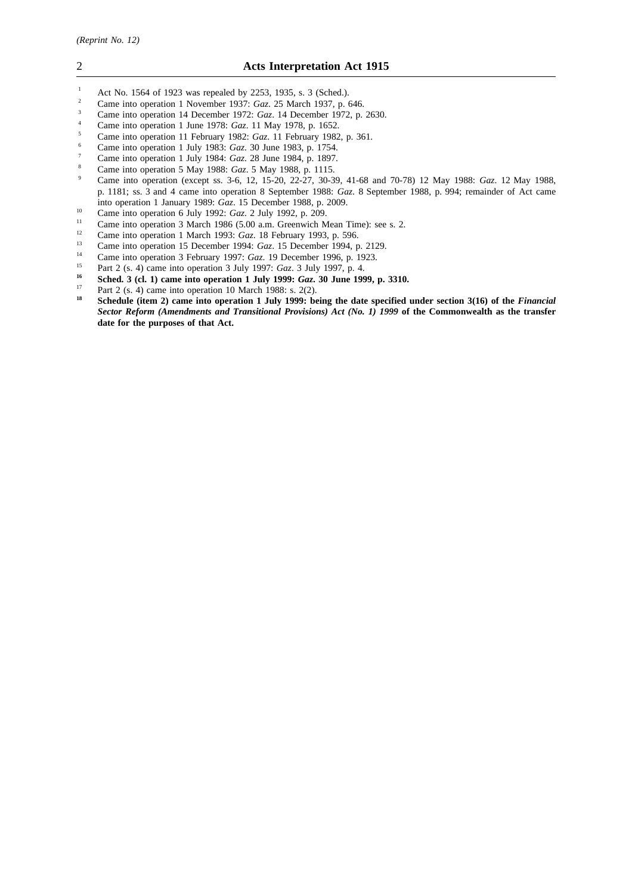- <sup>1</sup> Act No. 1564 of 1923 was repealed by 2253, 1935, s. 3 (Sched.).<br><sup>2</sup> Came into operation 1 November 1937; Gaz. 25 March 1937, p.
- <sup>2</sup> Came into operation 1 November 1937: *Gaz*. 25 March 1937, p. 646.
- <sup>3</sup> Came into operation 14 December 1972: *Gaz*. 14 December 1972, p. 2630.
- <sup>4</sup> Came into operation 1 June 1978: *Gaz*. 11 May 1978, p. 1652.
- <sup>5</sup> Came into operation 11 February 1982: *Gaz*. 11 February 1982, p. 361.
- <sup>6</sup> Came into operation 1 July 1983: *Gaz*. 30 June 1983, p. 1754.
- <sup>7</sup> Came into operation 1 July 1984: *Gaz*. 28 June 1984, p. 1897.
- 8 Came into operation 5 May 1988: *Gaz*. 5 May 1988, p. 1115.
- <sup>9</sup> Came into operation (except ss. 3-6, 12, 15-20, 22-27, 30-39, 41-68 and 70-78) 12 May 1988: *Gaz*. 12 May 1988, p. 1181; ss. 3 and 4 came into operation 8 September 1988: *Gaz*. 8 September 1988, p. 994; remainder of Act came into operation 1 January 1989: *Gaz*. 15 December 1988, p. 2009.
- <sup>10</sup> Came into operation 6 July 1992: *Gaz*. 2 July 1992, p. 209.
- <sup>11</sup> Came into operation 3 March 1986 (5.00 a.m. Greenwich Mean Time): see s. 2.<br><sup>12</sup> Came into operation 1 March 1993:  $G\sigma$  18 February 1993, p. 596
- <sup>12</sup> Came into operation 1 March 1993: *Gaz*. 18 February 1993, p. 596.
- <sup>13</sup> Came into operation 15 December 1994: *Gaz.* 15 December 1994, p. 2129.
- <sup>14</sup> Came into operation 3 February 1997: *Gaz*. 19 December 1996, p. 1923.<br><sup>15</sup> Part 2 (c, d) came into operation 2 July 1997: *Gaz*. 2 July 1997, p. 4.
- <sup>15</sup> Part 2 (s. 4) came into operation 3 July 1997: *Gaz*. 3 July 1997, p. 4.
- **16 Sched. 3 (cl. 1) came into operation 1 July 1999:** *Gaz***. 30 June 1999, p. 3310.**<br> $\frac{17}{2}$  **Duri 2 (c** d) some integration 10 Marsh 1998:  $\frac{2(2)}{2}$
- <sup>17</sup> Part 2 (s. 4) came into operation 10 March 1988: s. 2(2).<br><sup>18</sup> Schodule (item 2) came into operation 1 July 1000; he
- **<sup>18</sup> Schedule (item 2) came into operation 1 July 1999: being the date specified under section 3(16) of the** *Financial Sector Reform (Amendments and Transitional Provisions) Act (No. 1) 1999* **of the Commonwealth as the transfer date for the purposes of that Act.**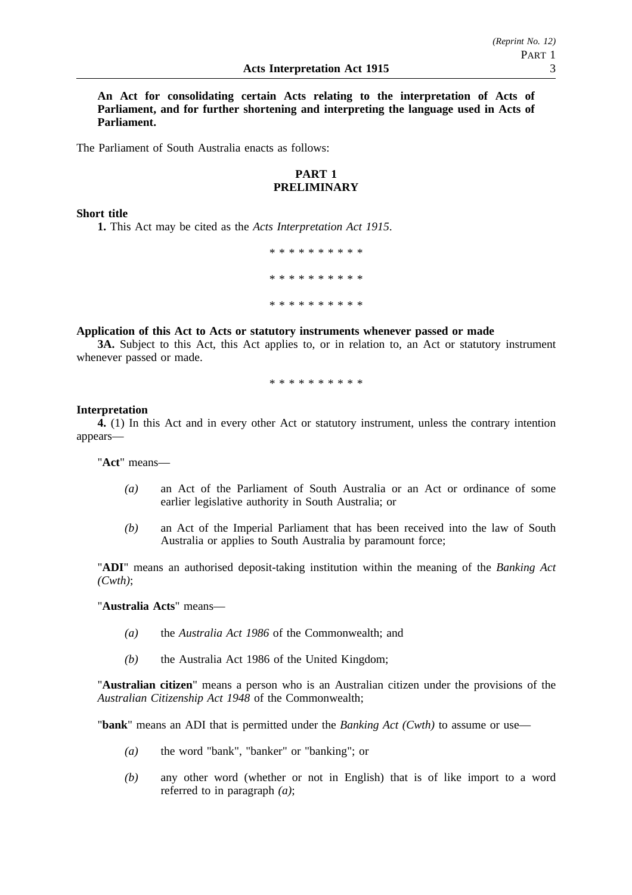**An Act for consolidating certain Acts relating to the interpretation of Acts of Parliament, and for further shortening and interpreting the language used in Acts of Parliament.**

The Parliament of South Australia enacts as follows:

## **PART 1 PRELIMINARY**

#### **Short title**

**1.** This Act may be cited as the *Acts Interpretation Act 1915*.

\*\*\*\*\*\*\*\*\*\* \*\*\*\*\*\*\*\*\*\* \*\*\*\*\*\*\*\*\*\*

## **Application of this Act to Acts or statutory instruments whenever passed or made**

**3A.** Subject to this Act, this Act applies to, or in relation to, an Act or statutory instrument whenever passed or made.

\*\*\*\*\*\*\*\*\*\*

#### **Interpretation**

**4.** (1) In this Act and in every other Act or statutory instrument, unless the contrary intention appears—

"**Act**" means—

- *(a)* an Act of the Parliament of South Australia or an Act or ordinance of some earlier legislative authority in South Australia; or
- *(b)* an Act of the Imperial Parliament that has been received into the law of South Australia or applies to South Australia by paramount force;

"**ADI**" means an authorised deposit-taking institution within the meaning of the *Banking Act (Cwth)*;

"**Australia Acts**" means—

- *(a)* the *Australia Act 1986* of the Commonwealth; and
- *(b)* the Australia Act 1986 of the United Kingdom;

"**Australian citizen**" means a person who is an Australian citizen under the provisions of the *Australian Citizenship Act 1948* of the Commonwealth;

"**bank**" means an ADI that is permitted under the *Banking Act (Cwth)* to assume or use—

- *(a)* the word "bank", "banker" or "banking"; or
- *(b)* any other word (whether or not in English) that is of like import to a word referred to in paragraph *(a)*;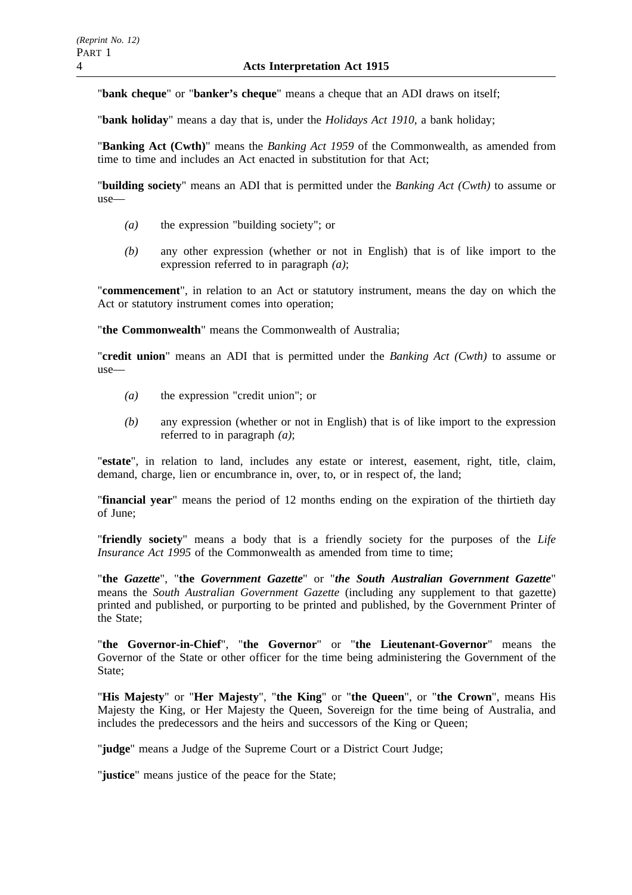"**bank cheque**" or "**banker's cheque**" means a cheque that an ADI draws on itself;

"**bank holiday**" means a day that is, under the *Holidays Act 1910*, a bank holiday;

"**Banking Act (Cwth)**" means the *Banking Act 1959* of the Commonwealth, as amended from time to time and includes an Act enacted in substitution for that Act;

"**building society**" means an ADI that is permitted under the *Banking Act (Cwth)* to assume or use—

- *(a)* the expression "building society"; or
- *(b)* any other expression (whether or not in English) that is of like import to the expression referred to in paragraph *(a)*;

"**commencement**", in relation to an Act or statutory instrument, means the day on which the Act or statutory instrument comes into operation;

"**the Commonwealth**" means the Commonwealth of Australia;

"**credit union**" means an ADI that is permitted under the *Banking Act (Cwth)* to assume or use—

- *(a)* the expression "credit union"; or
- *(b)* any expression (whether or not in English) that is of like import to the expression referred to in paragraph *(a)*;

"**estate**", in relation to land, includes any estate or interest, easement, right, title, claim, demand, charge, lien or encumbrance in, over, to, or in respect of, the land;

"**financial year**" means the period of 12 months ending on the expiration of the thirtieth day of June;

"**friendly society**" means a body that is a friendly society for the purposes of the *Life Insurance Act 1995* of the Commonwealth as amended from time to time:

"**the** *Gazette*", "**the** *Government Gazette*" or "*the South Australian Government Gazette*" means the *South Australian Government Gazette* (including any supplement to that gazette) printed and published, or purporting to be printed and published, by the Government Printer of the State;

"**the Governor-in-Chief**", "**the Governor**" or "**the Lieutenant-Governor**" means the Governor of the State or other officer for the time being administering the Government of the State:

"**His Majesty**" or "**Her Majesty**", "**the King**" or "**the Queen**", or "**the Crown**", means His Majesty the King, or Her Majesty the Queen, Sovereign for the time being of Australia, and includes the predecessors and the heirs and successors of the King or Queen;

"**judge**" means a Judge of the Supreme Court or a District Court Judge;

"**justice**" means justice of the peace for the State;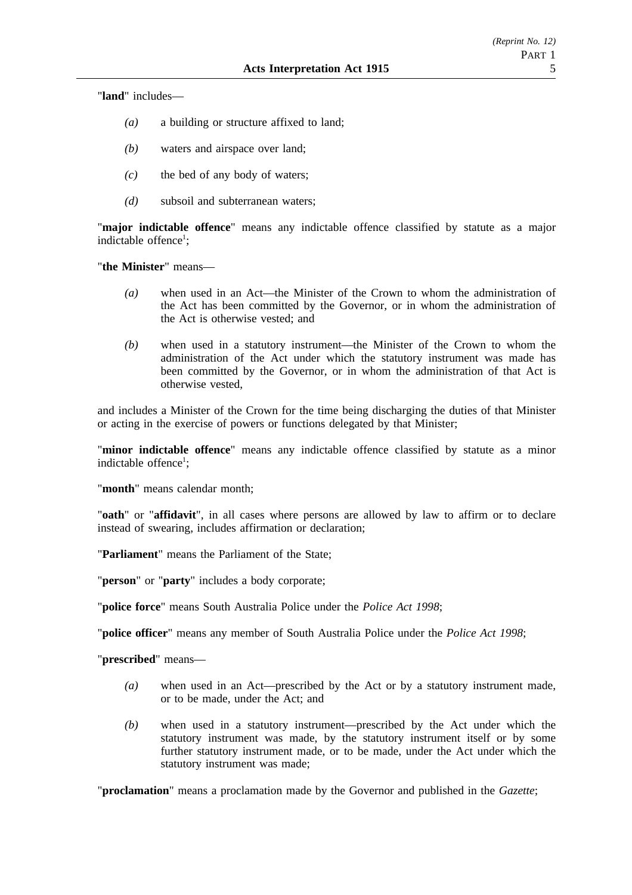"**land**" includes—

- *(a)* a building or structure affixed to land;
- *(b)* waters and airspace over land;
- *(c)* the bed of any body of waters;
- *(d)* subsoil and subterranean waters;

"**major indictable offence**" means any indictable offence classified by statute as a major indictable offence<sup>1</sup>;

"**the Minister**" means—

- *(a)* when used in an Act—the Minister of the Crown to whom the administration of the Act has been committed by the Governor, or in whom the administration of the Act is otherwise vested; and
- *(b)* when used in a statutory instrument—the Minister of the Crown to whom the administration of the Act under which the statutory instrument was made has been committed by the Governor, or in whom the administration of that Act is otherwise vested,

and includes a Minister of the Crown for the time being discharging the duties of that Minister or acting in the exercise of powers or functions delegated by that Minister;

"**minor indictable offence**" means any indictable offence classified by statute as a minor indictable offence<sup>1</sup>;

"**month**" means calendar month;

"**oath**" or "**affidavit**", in all cases where persons are allowed by law to affirm or to declare instead of swearing, includes affirmation or declaration;

"**Parliament**" means the Parliament of the State;

"**person**" or "**party**" includes a body corporate;

"**police force**" means South Australia Police under the *Police Act 1998*;

"**police officer**" means any member of South Australia Police under the *Police Act 1998*;

"**prescribed**" means—

- *(a)* when used in an Act—prescribed by the Act or by a statutory instrument made, or to be made, under the Act; and
- *(b)* when used in a statutory instrument—prescribed by the Act under which the statutory instrument was made, by the statutory instrument itself or by some further statutory instrument made, or to be made, under the Act under which the statutory instrument was made;

"**proclamation**" means a proclamation made by the Governor and published in the *Gazette*;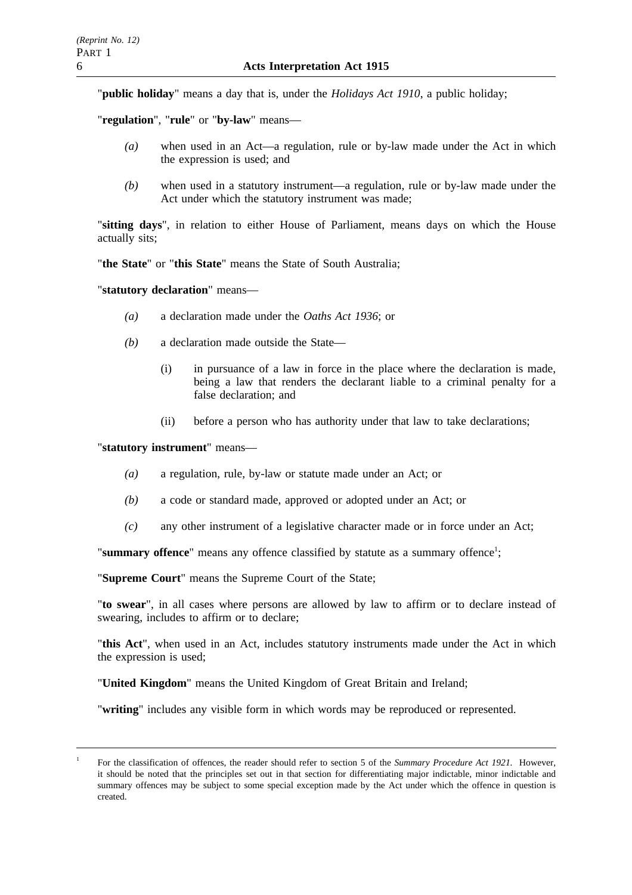"**public holiday**" means a day that is, under the *Holidays Act 1910*, a public holiday;

"**regulation**", "**rule**" or "**by-law**" means—

- *(a)* when used in an Act—a regulation, rule or by-law made under the Act in which the expression is used; and
- *(b)* when used in a statutory instrument—a regulation, rule or by-law made under the Act under which the statutory instrument was made;

"**sitting days**", in relation to either House of Parliament, means days on which the House actually sits;

"**the State**" or "**this State**" means the State of South Australia;

"**statutory declaration**" means—

- *(a)* a declaration made under the *Oaths Act 1936*; or
- *(b)* a declaration made outside the State—
	- (i) in pursuance of a law in force in the place where the declaration is made, being a law that renders the declarant liable to a criminal penalty for a false declaration; and
	- (ii) before a person who has authority under that law to take declarations;

"**statutory instrument**" means—

- *(a)* a regulation, rule, by-law or statute made under an Act; or
- *(b)* a code or standard made, approved or adopted under an Act; or
- *(c)* any other instrument of a legislative character made or in force under an Act;

"summary offence" means any offence classified by statute as a summary offence<sup>1</sup>;

"**Supreme Court**" means the Supreme Court of the State;

"**to swear**", in all cases where persons are allowed by law to affirm or to declare instead of swearing, includes to affirm or to declare;

"**this Act**", when used in an Act, includes statutory instruments made under the Act in which the expression is used;

"**United Kingdom**" means the United Kingdom of Great Britain and Ireland;

"**writing**" includes any visible form in which words may be reproduced or represented.

<sup>1</sup> For the classification of offences, the reader should refer to section 5 of the *Summary Procedure Act 1921.* However, it should be noted that the principles set out in that section for differentiating major indictable, minor indictable and summary offences may be subject to some special exception made by the Act under which the offence in question is created.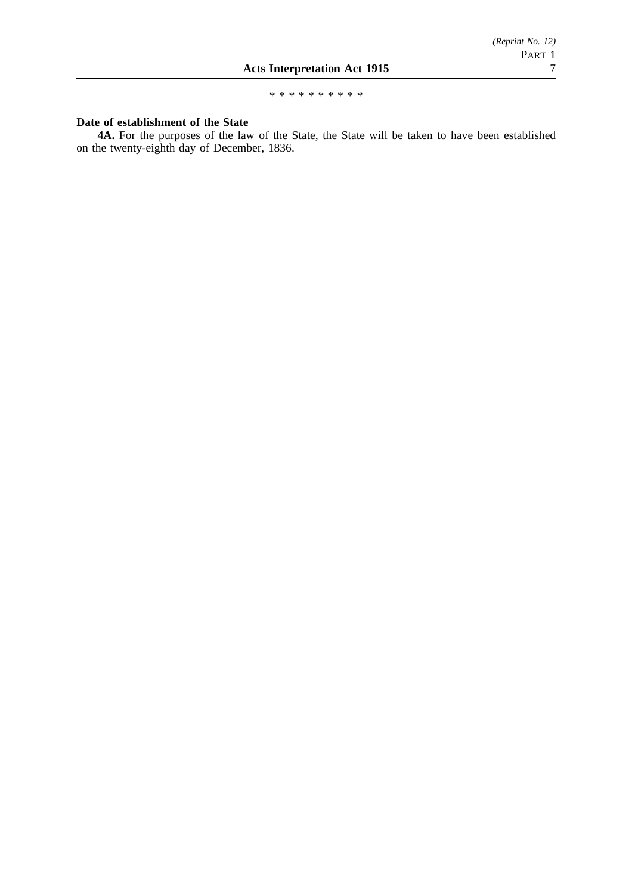\*\*\*\*\*\*\*\*\*\*

## **Date of establishment of the State**

**4A.** For the purposes of the law of the State, the State will be taken to have been established on the twenty-eighth day of December, 1836.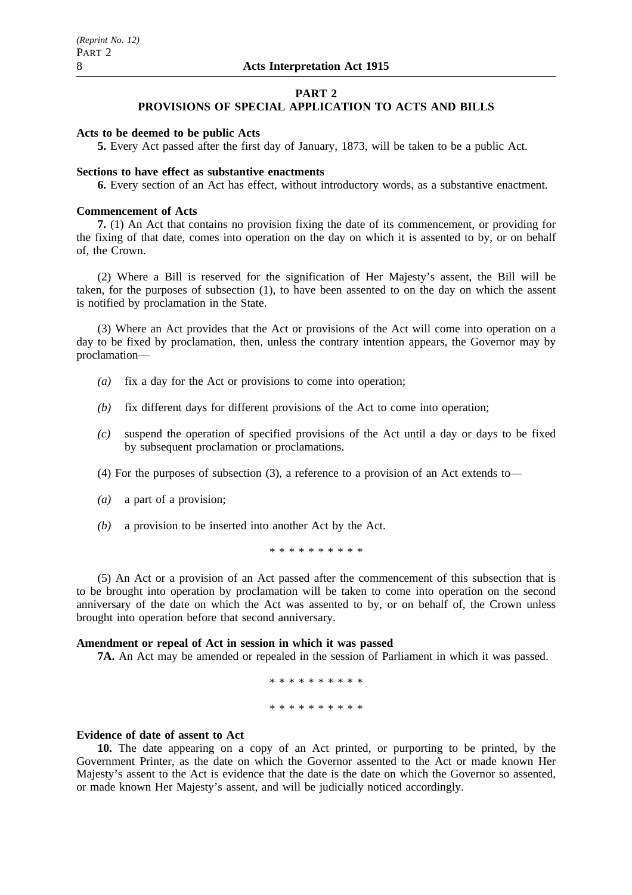## **PART 2**

## **PROVISIONS OF SPECIAL APPLICATION TO ACTS AND BILLS**

#### **Acts to be deemed to be public Acts**

**5.** Every Act passed after the first day of January, 1873, will be taken to be a public Act.

#### **Sections to have effect as substantive enactments**

**6.** Every section of an Act has effect, without introductory words, as a substantive enactment.

#### **Commencement of Acts**

**7.** (1) An Act that contains no provision fixing the date of its commencement, or providing for the fixing of that date, comes into operation on the day on which it is assented to by, or on behalf of, the Crown.

(2) Where a Bill is reserved for the signification of Her Majesty's assent, the Bill will be taken, for the purposes of subsection (1), to have been assented to on the day on which the assent is notified by proclamation in the State.

(3) Where an Act provides that the Act or provisions of the Act will come into operation on a day to be fixed by proclamation, then, unless the contrary intention appears, the Governor may by proclamation—

- *(a)* fix a day for the Act or provisions to come into operation;
- *(b)* fix different days for different provisions of the Act to come into operation;
- *(c)* suspend the operation of specified provisions of the Act until a day or days to be fixed by subsequent proclamation or proclamations.
- (4) For the purposes of subsection (3), a reference to a provision of an Act extends to—
- *(a)* a part of a provision;
- *(b)* a provision to be inserted into another Act by the Act.

\*\*\*\*\*\*\*\*\*\*

(5) An Act or a provision of an Act passed after the commencement of this subsection that is to be brought into operation by proclamation will be taken to come into operation on the second anniversary of the date on which the Act was assented to by, or on behalf of, the Crown unless brought into operation before that second anniversary.

#### **Amendment or repeal of Act in session in which it was passed**

**7A.** An Act may be amended or repealed in the session of Parliament in which it was passed.

```
**********
**********
```
#### **Evidence of date of assent to Act**

**10.** The date appearing on a copy of an Act printed, or purporting to be printed, by the Government Printer, as the date on which the Governor assented to the Act or made known Her Majesty's assent to the Act is evidence that the date is the date on which the Governor so assented, or made known Her Majesty's assent, and will be judicially noticed accordingly.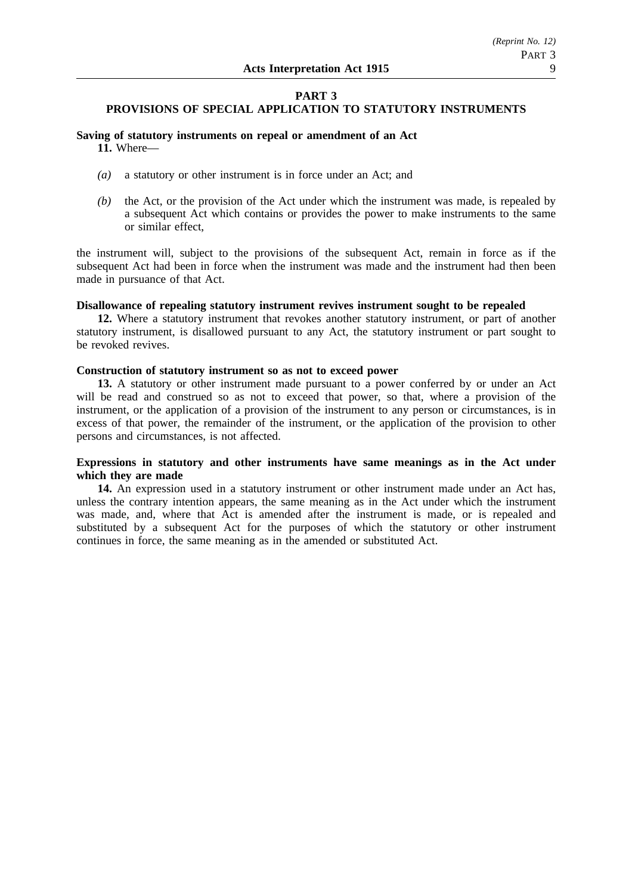## **PART 3 PROVISIONS OF SPECIAL APPLICATION TO STATUTORY INSTRUMENTS**

#### **Saving of statutory instruments on repeal or amendment of an Act 11.** Where—

- *(a)* a statutory or other instrument is in force under an Act; and
- *(b)* the Act, or the provision of the Act under which the instrument was made, is repealed by a subsequent Act which contains or provides the power to make instruments to the same or similar effect,

the instrument will, subject to the provisions of the subsequent Act, remain in force as if the subsequent Act had been in force when the instrument was made and the instrument had then been made in pursuance of that Act.

#### **Disallowance of repealing statutory instrument revives instrument sought to be repealed**

**12.** Where a statutory instrument that revokes another statutory instrument, or part of another statutory instrument, is disallowed pursuant to any Act, the statutory instrument or part sought to be revoked revives.

#### **Construction of statutory instrument so as not to exceed power**

**13.** A statutory or other instrument made pursuant to a power conferred by or under an Act will be read and construed so as not to exceed that power, so that, where a provision of the instrument, or the application of a provision of the instrument to any person or circumstances, is in excess of that power, the remainder of the instrument, or the application of the provision to other persons and circumstances, is not affected.

#### **Expressions in statutory and other instruments have same meanings as in the Act under which they are made**

**14.** An expression used in a statutory instrument or other instrument made under an Act has, unless the contrary intention appears, the same meaning as in the Act under which the instrument was made, and, where that Act is amended after the instrument is made, or is repealed and substituted by a subsequent Act for the purposes of which the statutory or other instrument continues in force, the same meaning as in the amended or substituted Act.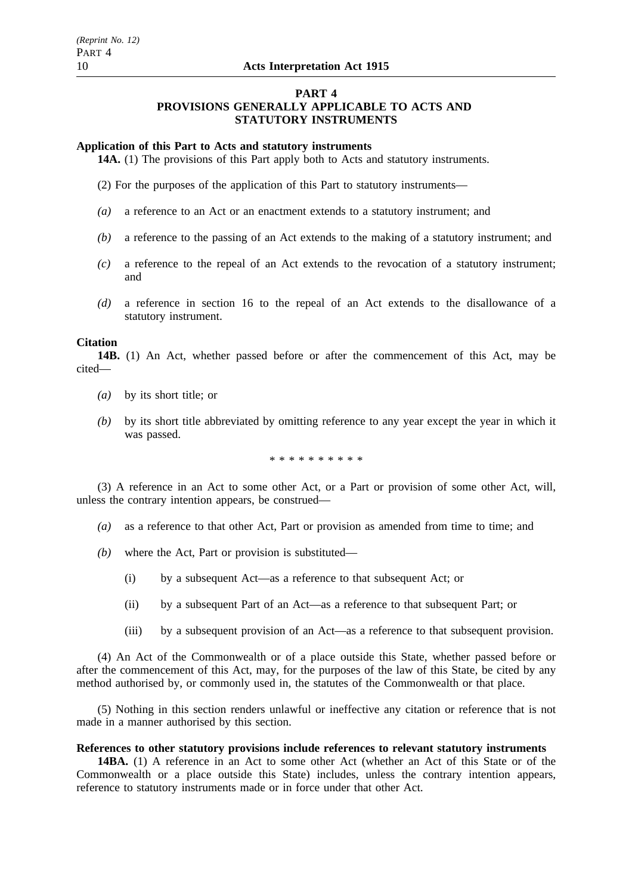#### **PART 4**

## **PROVISIONS GENERALLY APPLICABLE TO ACTS AND STATUTORY INSTRUMENTS**

#### **Application of this Part to Acts and statutory instruments**

**14A.** (1) The provisions of this Part apply both to Acts and statutory instruments.

(2) For the purposes of the application of this Part to statutory instruments—

- *(a)* a reference to an Act or an enactment extends to a statutory instrument; and
- *(b)* a reference to the passing of an Act extends to the making of a statutory instrument; and
- *(c)* a reference to the repeal of an Act extends to the revocation of a statutory instrument; and
- *(d)* a reference in section 16 to the repeal of an Act extends to the disallowance of a statutory instrument.

#### **Citation**

**14B.** (1) An Act, whether passed before or after the commencement of this Act, may be cited—

- *(a)* by its short title; or
- *(b)* by its short title abbreviated by omitting reference to any year except the year in which it was passed.

\*\*\*\*\*\*\*\*\*\*

(3) A reference in an Act to some other Act, or a Part or provision of some other Act, will, unless the contrary intention appears, be construed—

- *(a)* as a reference to that other Act, Part or provision as amended from time to time; and
- *(b)* where the Act, Part or provision is substituted—
	- (i) by a subsequent Act—as a reference to that subsequent Act; or
	- (ii) by a subsequent Part of an Act—as a reference to that subsequent Part; or
	- (iii) by a subsequent provision of an Act—as a reference to that subsequent provision.

(4) An Act of the Commonwealth or of a place outside this State, whether passed before or after the commencement of this Act, may, for the purposes of the law of this State, be cited by any method authorised by, or commonly used in, the statutes of the Commonwealth or that place.

(5) Nothing in this section renders unlawful or ineffective any citation or reference that is not made in a manner authorised by this section.

#### **References to other statutory provisions include references to relevant statutory instruments**

**14BA.** (1) A reference in an Act to some other Act (whether an Act of this State or of the Commonwealth or a place outside this State) includes, unless the contrary intention appears, reference to statutory instruments made or in force under that other Act.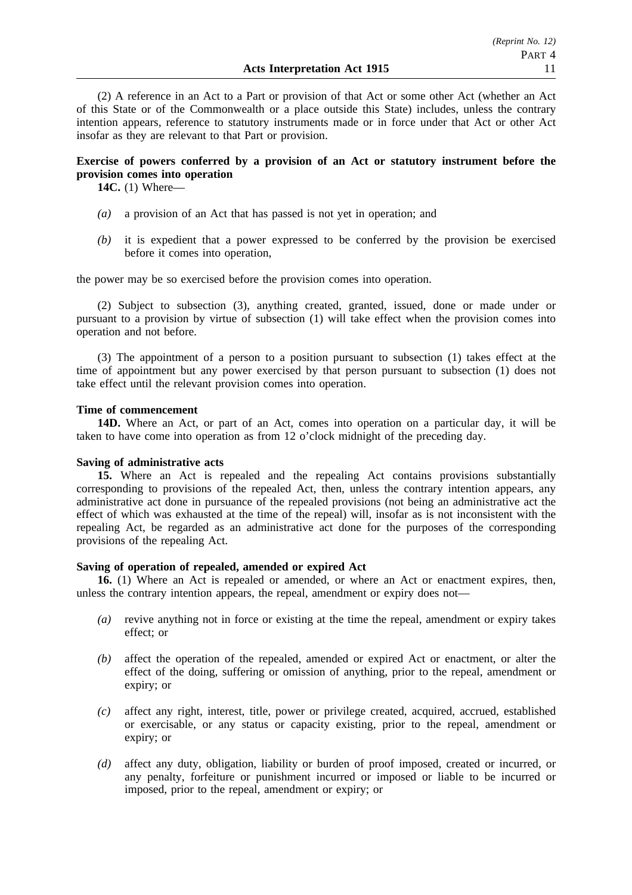(2) A reference in an Act to a Part or provision of that Act or some other Act (whether an Act of this State or of the Commonwealth or a place outside this State) includes, unless the contrary intention appears, reference to statutory instruments made or in force under that Act or other Act insofar as they are relevant to that Part or provision.

## **Exercise of powers conferred by a provision of an Act or statutory instrument before the provision comes into operation**

**14C.** (1) Where—

- *(a)* a provision of an Act that has passed is not yet in operation; and
- *(b)* it is expedient that a power expressed to be conferred by the provision be exercised before it comes into operation,

the power may be so exercised before the provision comes into operation.

(2) Subject to subsection (3), anything created, granted, issued, done or made under or pursuant to a provision by virtue of subsection (1) will take effect when the provision comes into operation and not before.

(3) The appointment of a person to a position pursuant to subsection (1) takes effect at the time of appointment but any power exercised by that person pursuant to subsection (1) does not take effect until the relevant provision comes into operation.

#### **Time of commencement**

**14D.** Where an Act, or part of an Act, comes into operation on a particular day, it will be taken to have come into operation as from 12 o'clock midnight of the preceding day.

#### **Saving of administrative acts**

**15.** Where an Act is repealed and the repealing Act contains provisions substantially corresponding to provisions of the repealed Act, then, unless the contrary intention appears, any administrative act done in pursuance of the repealed provisions (not being an administrative act the effect of which was exhausted at the time of the repeal) will, insofar as is not inconsistent with the repealing Act, be regarded as an administrative act done for the purposes of the corresponding provisions of the repealing Act.

#### **Saving of operation of repealed, amended or expired Act**

**16.** (1) Where an Act is repealed or amended, or where an Act or enactment expires, then, unless the contrary intention appears, the repeal, amendment or expiry does not—

- *(a)* revive anything not in force or existing at the time the repeal, amendment or expiry takes effect; or
- *(b)* affect the operation of the repealed, amended or expired Act or enactment, or alter the effect of the doing, suffering or omission of anything, prior to the repeal, amendment or expiry; or
- *(c)* affect any right, interest, title, power or privilege created, acquired, accrued, established or exercisable, or any status or capacity existing, prior to the repeal, amendment or expiry; or
- *(d)* affect any duty, obligation, liability or burden of proof imposed, created or incurred, or any penalty, forfeiture or punishment incurred or imposed or liable to be incurred or imposed, prior to the repeal, amendment or expiry; or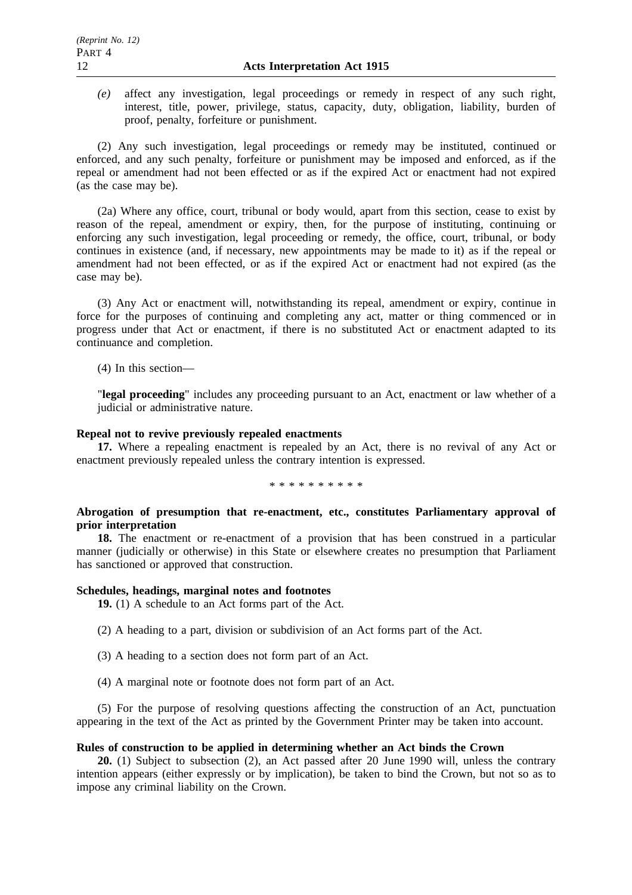*(e)* affect any investigation, legal proceedings or remedy in respect of any such right, interest, title, power, privilege, status, capacity, duty, obligation, liability, burden of proof, penalty, forfeiture or punishment.

(2) Any such investigation, legal proceedings or remedy may be instituted, continued or enforced, and any such penalty, forfeiture or punishment may be imposed and enforced, as if the repeal or amendment had not been effected or as if the expired Act or enactment had not expired (as the case may be).

(2a) Where any office, court, tribunal or body would, apart from this section, cease to exist by reason of the repeal, amendment or expiry, then, for the purpose of instituting, continuing or enforcing any such investigation, legal proceeding or remedy, the office, court, tribunal, or body continues in existence (and, if necessary, new appointments may be made to it) as if the repeal or amendment had not been effected, or as if the expired Act or enactment had not expired (as the case may be).

(3) Any Act or enactment will, notwithstanding its repeal, amendment or expiry, continue in force for the purposes of continuing and completing any act, matter or thing commenced or in progress under that Act or enactment, if there is no substituted Act or enactment adapted to its continuance and completion.

(4) In this section—

"**legal proceeding**" includes any proceeding pursuant to an Act, enactment or law whether of a judicial or administrative nature.

#### **Repeal not to revive previously repealed enactments**

**17.** Where a repealing enactment is repealed by an Act, there is no revival of any Act or enactment previously repealed unless the contrary intention is expressed.

\*\*\*\*\*\*\*\*\*\*

## **Abrogation of presumption that re-enactment, etc., constitutes Parliamentary approval of prior interpretation**

**18.** The enactment or re-enactment of a provision that has been construed in a particular manner (judicially or otherwise) in this State or elsewhere creates no presumption that Parliament has sanctioned or approved that construction.

#### **Schedules, headings, marginal notes and footnotes**

**19.** (1) A schedule to an Act forms part of the Act.

(2) A heading to a part, division or subdivision of an Act forms part of the Act.

- (3) A heading to a section does not form part of an Act.
- (4) A marginal note or footnote does not form part of an Act.

(5) For the purpose of resolving questions affecting the construction of an Act, punctuation appearing in the text of the Act as printed by the Government Printer may be taken into account.

#### **Rules of construction to be applied in determining whether an Act binds the Crown**

**20.** (1) Subject to subsection (2), an Act passed after 20 June 1990 will, unless the contrary intention appears (either expressly or by implication), be taken to bind the Crown, but not so as to impose any criminal liability on the Crown.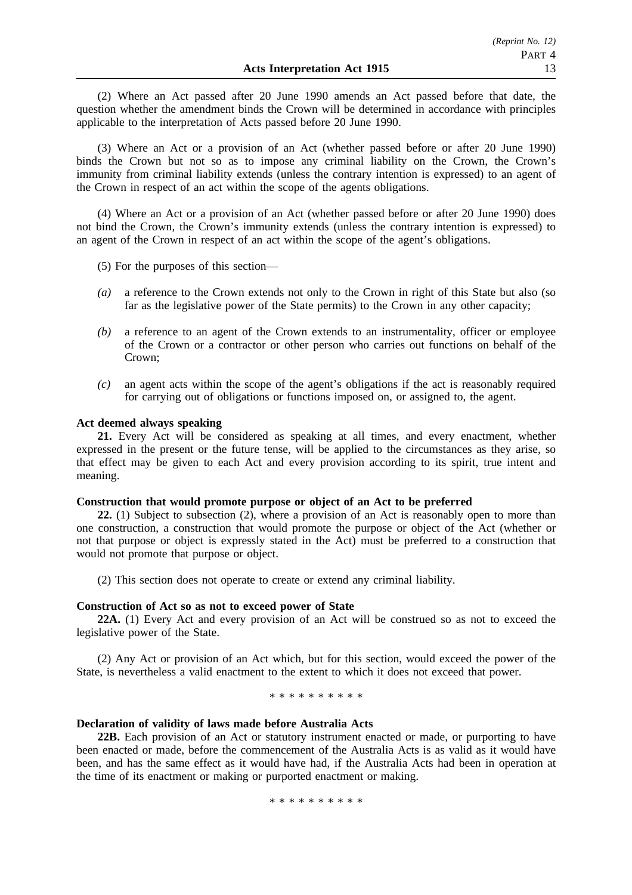(2) Where an Act passed after 20 June 1990 amends an Act passed before that date, the question whether the amendment binds the Crown will be determined in accordance with principles applicable to the interpretation of Acts passed before 20 June 1990.

(3) Where an Act or a provision of an Act (whether passed before or after 20 June 1990) binds the Crown but not so as to impose any criminal liability on the Crown, the Crown's immunity from criminal liability extends (unless the contrary intention is expressed) to an agent of the Crown in respect of an act within the scope of the agents obligations.

(4) Where an Act or a provision of an Act (whether passed before or after 20 June 1990) does not bind the Crown, the Crown's immunity extends (unless the contrary intention is expressed) to an agent of the Crown in respect of an act within the scope of the agent's obligations.

(5) For the purposes of this section—

- *(a)* a reference to the Crown extends not only to the Crown in right of this State but also (so far as the legislative power of the State permits) to the Crown in any other capacity;
- *(b)* a reference to an agent of the Crown extends to an instrumentality, officer or employee of the Crown or a contractor or other person who carries out functions on behalf of the Crown;
- *(c)* an agent acts within the scope of the agent's obligations if the act is reasonably required for carrying out of obligations or functions imposed on, or assigned to, the agent.

#### **Act deemed always speaking**

**21.** Every Act will be considered as speaking at all times, and every enactment, whether expressed in the present or the future tense, will be applied to the circumstances as they arise, so that effect may be given to each Act and every provision according to its spirit, true intent and meaning.

#### **Construction that would promote purpose or object of an Act to be preferred**

**22.** (1) Subject to subsection (2), where a provision of an Act is reasonably open to more than one construction, a construction that would promote the purpose or object of the Act (whether or not that purpose or object is expressly stated in the Act) must be preferred to a construction that would not promote that purpose or object.

(2) This section does not operate to create or extend any criminal liability.

#### **Construction of Act so as not to exceed power of State**

**22A.** (1) Every Act and every provision of an Act will be construed so as not to exceed the legislative power of the State.

(2) Any Act or provision of an Act which, but for this section, would exceed the power of the State, is nevertheless a valid enactment to the extent to which it does not exceed that power.

\*\*\*\*\*\*\*\*\*\*\*\*\*\*\*

#### **Declaration of validity of laws made before Australia Acts**

**22B.** Each provision of an Act or statutory instrument enacted or made, or purporting to have been enacted or made, before the commencement of the Australia Acts is as valid as it would have been, and has the same effect as it would have had, if the Australia Acts had been in operation at the time of its enactment or making or purported enactment or making.

\*\*\*\*\*\*\*\*\*\*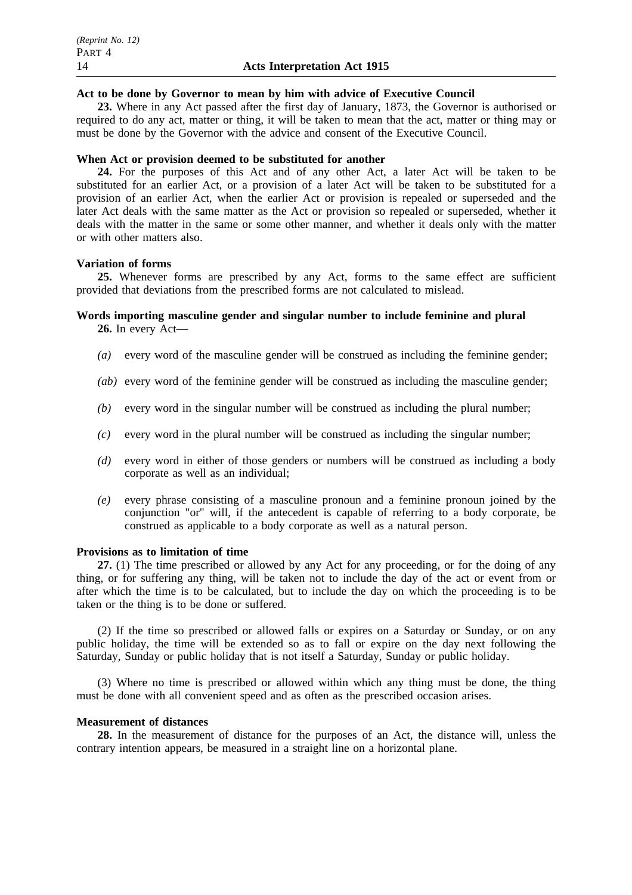## **Act to be done by Governor to mean by him with advice of Executive Council**

**23.** Where in any Act passed after the first day of January, 1873, the Governor is authorised or required to do any act, matter or thing, it will be taken to mean that the act, matter or thing may or must be done by the Governor with the advice and consent of the Executive Council.

## **When Act or provision deemed to be substituted for another**

**24.** For the purposes of this Act and of any other Act, a later Act will be taken to be substituted for an earlier Act, or a provision of a later Act will be taken to be substituted for a provision of an earlier Act, when the earlier Act or provision is repealed or superseded and the later Act deals with the same matter as the Act or provision so repealed or superseded, whether it deals with the matter in the same or some other manner, and whether it deals only with the matter or with other matters also.

## **Variation of forms**

**25.** Whenever forms are prescribed by any Act, forms to the same effect are sufficient provided that deviations from the prescribed forms are not calculated to mislead.

# **Words importing masculine gender and singular number to include feminine and plural**

**26.** In every Act—

- *(a)* every word of the masculine gender will be construed as including the feminine gender;
- *(ab)* every word of the feminine gender will be construed as including the masculine gender;
- *(b)* every word in the singular number will be construed as including the plural number;
- *(c)* every word in the plural number will be construed as including the singular number;
- *(d)* every word in either of those genders or numbers will be construed as including a body corporate as well as an individual;
- *(e)* every phrase consisting of a masculine pronoun and a feminine pronoun joined by the conjunction "or" will, if the antecedent is capable of referring to a body corporate, be construed as applicable to a body corporate as well as a natural person.

#### **Provisions as to limitation of time**

**27.** (1) The time prescribed or allowed by any Act for any proceeding, or for the doing of any thing, or for suffering any thing, will be taken not to include the day of the act or event from or after which the time is to be calculated, but to include the day on which the proceeding is to be taken or the thing is to be done or suffered.

(2) If the time so prescribed or allowed falls or expires on a Saturday or Sunday, or on any public holiday, the time will be extended so as to fall or expire on the day next following the Saturday, Sunday or public holiday that is not itself a Saturday, Sunday or public holiday.

(3) Where no time is prescribed or allowed within which any thing must be done, the thing must be done with all convenient speed and as often as the prescribed occasion arises.

#### **Measurement of distances**

**28.** In the measurement of distance for the purposes of an Act, the distance will, unless the contrary intention appears, be measured in a straight line on a horizontal plane.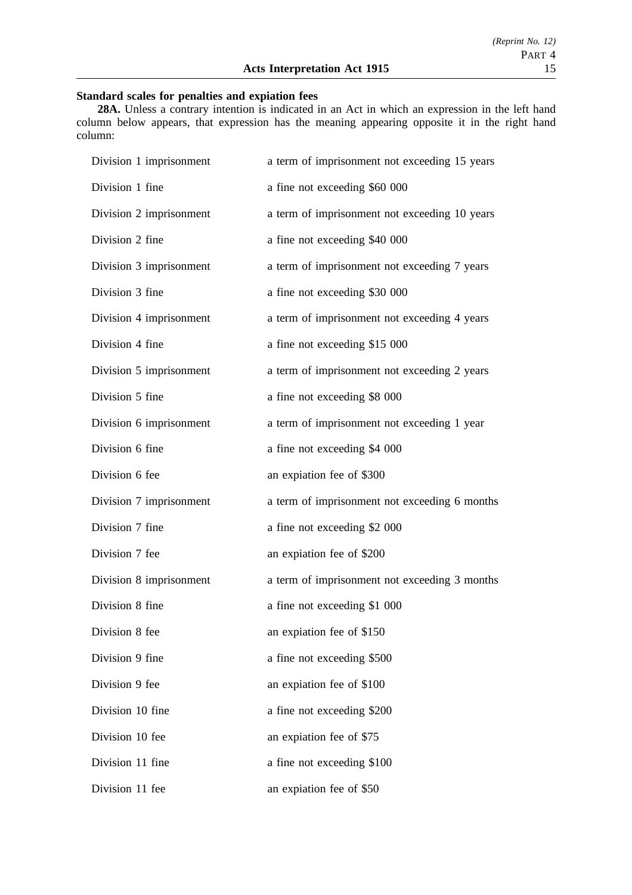## **Standard scales for penalties and expiation fees**

**28A.** Unless a contrary intention is indicated in an Act in which an expression in the left hand column below appears, that expression has the meaning appearing opposite it in the right hand column:

| Division 1 imprisonment | a term of imprisonment not exceeding 15 years |
|-------------------------|-----------------------------------------------|
| Division 1 fine         | a fine not exceeding \$60 000                 |
| Division 2 imprisonment | a term of imprisonment not exceeding 10 years |
| Division 2 fine         | a fine not exceeding \$40 000                 |
| Division 3 imprisonment | a term of imprisonment not exceeding 7 years  |
| Division 3 fine         | a fine not exceeding \$30 000                 |
| Division 4 imprisonment | a term of imprisonment not exceeding 4 years  |
| Division 4 fine         | a fine not exceeding \$15 000                 |
| Division 5 imprisonment | a term of imprisonment not exceeding 2 years  |
| Division 5 fine         | a fine not exceeding \$8 000                  |
| Division 6 imprisonment | a term of imprisonment not exceeding 1 year   |
| Division 6 fine         | a fine not exceeding \$4 000                  |
| Division 6 fee          | an expiation fee of \$300                     |
| Division 7 imprisonment | a term of imprisonment not exceeding 6 months |
| Division 7 fine         | a fine not exceeding \$2 000                  |
| Division 7 fee          | an expiation fee of \$200                     |
| Division 8 imprisonment | a term of imprisonment not exceeding 3 months |
| Division 8 fine         | a fine not exceeding \$1 000                  |
| Division 8 fee          | an expiation fee of \$150                     |
| Division 9 fine         | a fine not exceeding \$500                    |
| Division 9 fee          | an expiation fee of \$100                     |
| Division 10 fine        | a fine not exceeding \$200                    |
| Division 10 fee         | an expiation fee of \$75                      |
| Division 11 fine        | a fine not exceeding \$100                    |
| Division 11 fee         | an expiation fee of \$50                      |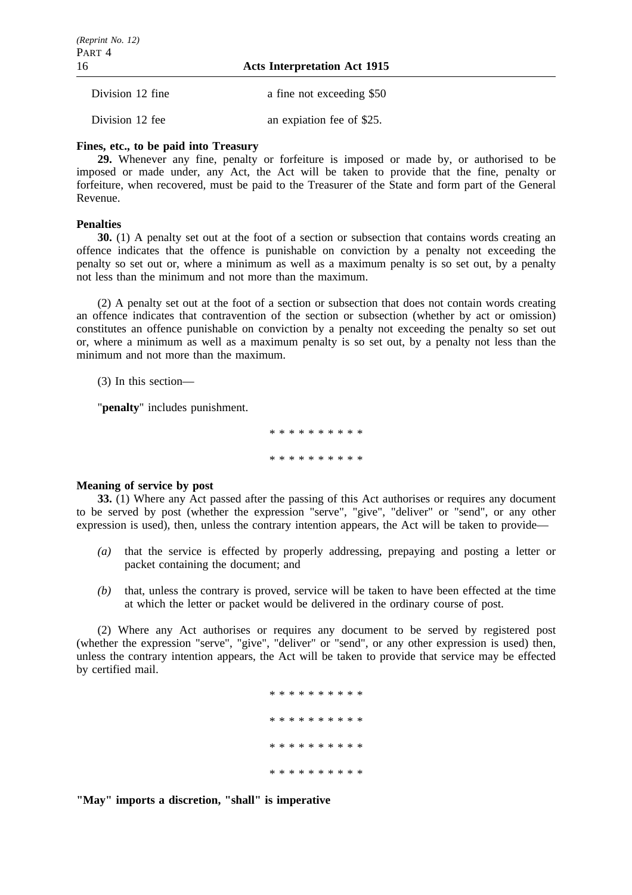16 **Acts Interpretation Act 1915**

| Division 12 fine | a fine not exceeding \$50 |
|------------------|---------------------------|
| Division 12 fee  | an expiation fee of \$25. |

#### **Fines, etc., to be paid into Treasury**

**29.** Whenever any fine, penalty or forfeiture is imposed or made by, or authorised to be imposed or made under, any Act, the Act will be taken to provide that the fine, penalty or forfeiture, when recovered, must be paid to the Treasurer of the State and form part of the General Revenue.

#### **Penalties**

**30.** (1) A penalty set out at the foot of a section or subsection that contains words creating an offence indicates that the offence is punishable on conviction by a penalty not exceeding the penalty so set out or, where a minimum as well as a maximum penalty is so set out, by a penalty not less than the minimum and not more than the maximum.

(2) A penalty set out at the foot of a section or subsection that does not contain words creating an offence indicates that contravention of the section or subsection (whether by act or omission) constitutes an offence punishable on conviction by a penalty not exceeding the penalty so set out or, where a minimum as well as a maximum penalty is so set out, by a penalty not less than the minimum and not more than the maximum.

(3) In this section—

"**penalty**" includes punishment.

\*\*\*\*\*\*\*\*\*\* \*\*\*\*\*\*\*\*\*\*

#### **Meaning of service by post**

**33.** (1) Where any Act passed after the passing of this Act authorises or requires any document to be served by post (whether the expression "serve", "give", "deliver" or "send", or any other expression is used), then, unless the contrary intention appears, the Act will be taken to provide—

- *(a)* that the service is effected by properly addressing, prepaying and posting a letter or packet containing the document; and
- *(b)* that, unless the contrary is proved, service will be taken to have been effected at the time at which the letter or packet would be delivered in the ordinary course of post.

(2) Where any Act authorises or requires any document to be served by registered post (whether the expression "serve", "give", "deliver" or "send", or any other expression is used) then, unless the contrary intention appears, the Act will be taken to provide that service may be effected by certified mail.

> \*\*\*\*\*\*\*\*\*\* \*\*\*\*\*\*\*\*\*\* \*\*\*\*\*\*\*\*\*\* \*\*\*\*\*\*\*\*\*\*

**"May" imports a discretion, "shall" is imperative**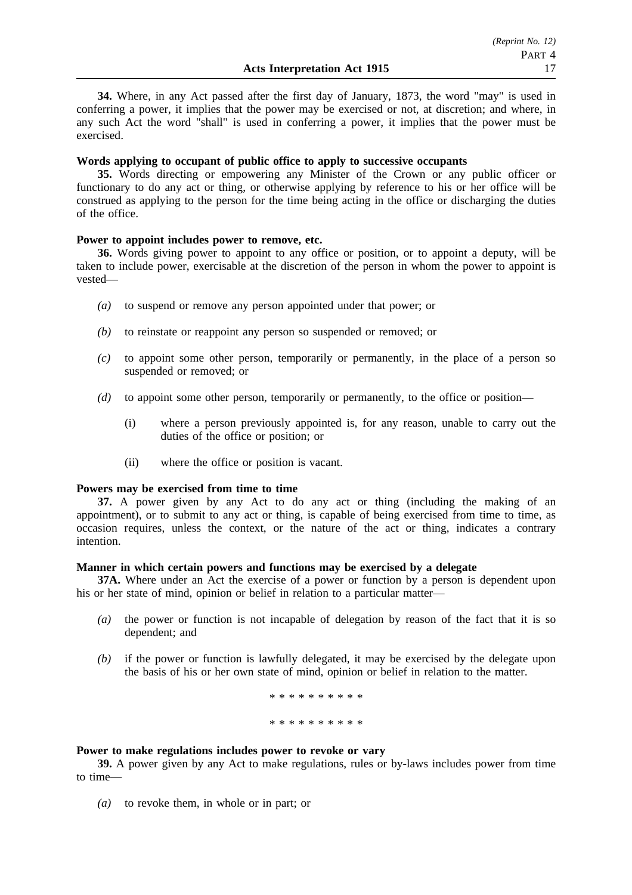**34.** Where, in any Act passed after the first day of January, 1873, the word "may" is used in conferring a power, it implies that the power may be exercised or not, at discretion; and where, in any such Act the word "shall" is used in conferring a power, it implies that the power must be exercised.

### **Words applying to occupant of public office to apply to successive occupants**

**35.** Words directing or empowering any Minister of the Crown or any public officer or functionary to do any act or thing, or otherwise applying by reference to his or her office will be construed as applying to the person for the time being acting in the office or discharging the duties of the office.

## **Power to appoint includes power to remove, etc.**

**36.** Words giving power to appoint to any office or position, or to appoint a deputy, will be taken to include power, exercisable at the discretion of the person in whom the power to appoint is vested—

- *(a)* to suspend or remove any person appointed under that power; or
- *(b)* to reinstate or reappoint any person so suspended or removed; or
- *(c)* to appoint some other person, temporarily or permanently, in the place of a person so suspended or removed: or
- *(d)* to appoint some other person, temporarily or permanently, to the office or position—
	- (i) where a person previously appointed is, for any reason, unable to carry out the duties of the office or position; or
	- (ii) where the office or position is vacant.

#### **Powers may be exercised from time to time**

**37.** A power given by any Act to do any act or thing (including the making of an appointment), or to submit to any act or thing, is capable of being exercised from time to time, as occasion requires, unless the context, or the nature of the act or thing, indicates a contrary intention.

#### **Manner in which certain powers and functions may be exercised by a delegate**

**37A.** Where under an Act the exercise of a power or function by a person is dependent upon his or her state of mind, opinion or belief in relation to a particular matter—

- *(a)* the power or function is not incapable of delegation by reason of the fact that it is so dependent; and
- *(b)* if the power or function is lawfully delegated, it may be exercised by the delegate upon the basis of his or her own state of mind, opinion or belief in relation to the matter.

\*\*\*\*\*\*\*\*\*\* \*\*\*\*\*\*\*\*\*\*

### **Power to make regulations includes power to revoke or vary**

**39.** A power given by any Act to make regulations, rules or by-laws includes power from time to time—

*(a)* to revoke them, in whole or in part; or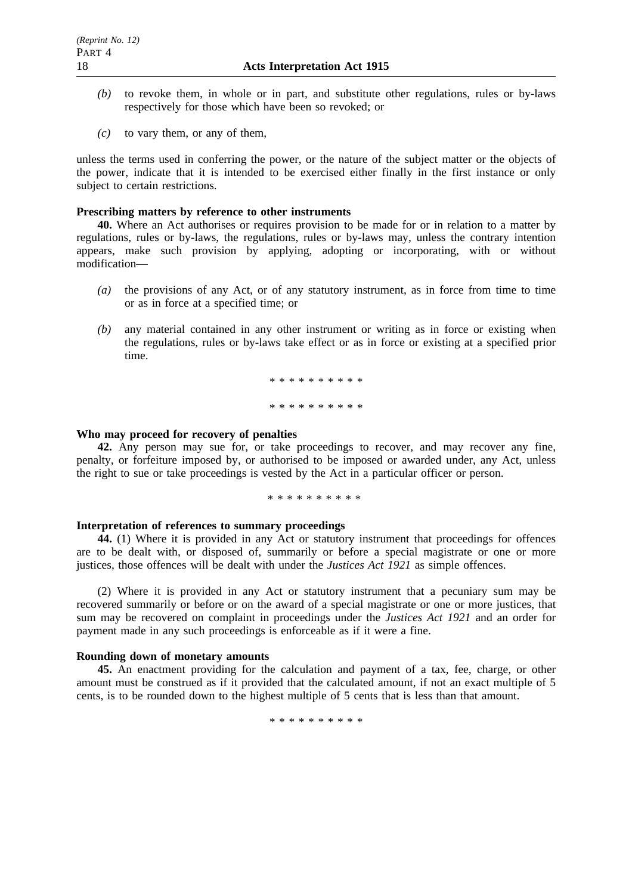- *(b)* to revoke them, in whole or in part, and substitute other regulations, rules or by-laws respectively for those which have been so revoked; or
- *(c)* to vary them, or any of them,

unless the terms used in conferring the power, or the nature of the subject matter or the objects of the power, indicate that it is intended to be exercised either finally in the first instance or only subject to certain restrictions.

#### **Prescribing matters by reference to other instruments**

**40.** Where an Act authorises or requires provision to be made for or in relation to a matter by regulations, rules or by-laws, the regulations, rules or by-laws may, unless the contrary intention appears, make such provision by applying, adopting or incorporating, with or without modification—

- *(a)* the provisions of any Act, or of any statutory instrument, as in force from time to time or as in force at a specified time; or
- *(b)* any material contained in any other instrument or writing as in force or existing when the regulations, rules or by-laws take effect or as in force or existing at a specified prior time.

\*\*\*\*\*\*\*\*\*\* \*\*\*\*\*\*\*\*\*\*

#### **Who may proceed for recovery of penalties**

**42.** Any person may sue for, or take proceedings to recover, and may recover any fine, penalty, or forfeiture imposed by, or authorised to be imposed or awarded under, any Act, unless the right to sue or take proceedings is vested by the Act in a particular officer or person.

\*\*\*\*\*\*\*\*\*\*

#### **Interpretation of references to summary proceedings**

**44.** (1) Where it is provided in any Act or statutory instrument that proceedings for offences are to be dealt with, or disposed of, summarily or before a special magistrate or one or more justices, those offences will be dealt with under the *Justices Act 1921* as simple offences.

(2) Where it is provided in any Act or statutory instrument that a pecuniary sum may be recovered summarily or before or on the award of a special magistrate or one or more justices, that sum may be recovered on complaint in proceedings under the *Justices Act 1921* and an order for payment made in any such proceedings is enforceable as if it were a fine.

#### **Rounding down of monetary amounts**

**45.** An enactment providing for the calculation and payment of a tax, fee, charge, or other amount must be construed as if it provided that the calculated amount, if not an exact multiple of 5 cents, is to be rounded down to the highest multiple of 5 cents that is less than that amount.

\*\*\*\*\*\*\*\*\*\*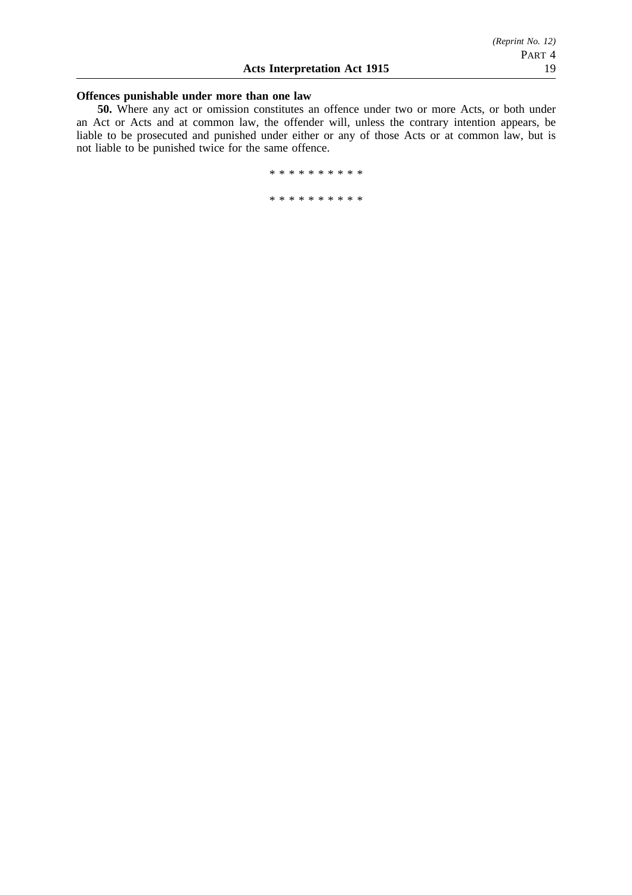## **Offences punishable under more than one law**

**50.** Where any act or omission constitutes an offence under two or more Acts, or both under an Act or Acts and at common law, the offender will, unless the contrary intention appears, be liable to be prosecuted and punished under either or any of those Acts or at common law, but is not liable to be punished twice for the same offence.

\*\*\*\*\*\*\*\*\*\*

\*\*\*\*\*\*\*\*\*\*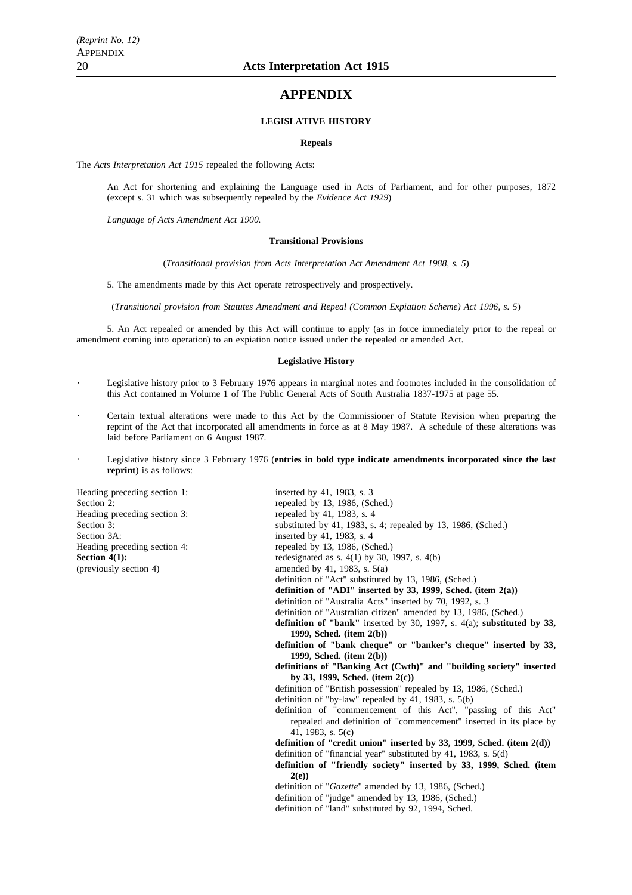## **APPENDIX**

#### **LEGISLATIVE HISTORY**

#### **Repeals**

The *Acts Interpretation Act 1915* repealed the following Acts:

An Act for shortening and explaining the Language used in Acts of Parliament, and for other purposes, 1872 (except s. 31 which was subsequently repealed by the *Evidence Act 1929*)

*Language of Acts Amendment Act 1900.*

#### **Transitional Provisions**

(*Transitional provision from Acts Interpretation Act Amendment Act 1988, s. 5*)

5. The amendments made by this Act operate retrospectively and prospectively.

(*Transitional provision from Statutes Amendment and Repeal (Common Expiation Scheme) Act 1996, s. 5*)

5. An Act repealed or amended by this Act will continue to apply (as in force immediately prior to the repeal or amendment coming into operation) to an expiation notice issued under the repealed or amended Act.

#### **Legislative History**

- Legislative history prior to 3 February 1976 appears in marginal notes and footnotes included in the consolidation of this Act contained in Volume 1 of The Public General Acts of South Australia 1837-1975 at page 55.
- Certain textual alterations were made to this Act by the Commissioner of Statute Revision when preparing the reprint of the Act that incorporated all amendments in force as at 8 May 1987. A schedule of these alterations was laid before Parliament on 6 August 1987.
- Legislative history since 3 February 1976 (**entries in bold type indicate amendments incorporated since the last reprint**) is as follows:

Heading preceding section 1: inserted by 41, 1983, s. 3 Section 2: Heading preceding section 3: Section 3A: Heading preceding section 4: **Section 4(1):** (previously section  $4$ )

| reading preceding section 1. | $MSE11E111V$ +1, 1900, S. 3                                               |
|------------------------------|---------------------------------------------------------------------------|
| Section 2:                   | repealed by 13, 1986, (Sched.)                                            |
| Heading preceding section 3: | repealed by 41, 1983, s. 4                                                |
| Section 3:                   | substituted by 41, 1983, s. 4; repealed by 13, 1986, (Sched.)             |
| Section 3A:                  | inserted by 41, 1983, s. 4                                                |
| Heading preceding section 4: | repealed by 13, 1986, (Sched.)                                            |
| Section 4(1):                | redesignated as s. $4(1)$ by 30, 1997, s. $4(b)$                          |
| (previously section 4)       | amended by 41, 1983, s. $5(a)$                                            |
|                              | definition of "Act" substituted by 13, 1986, (Sched.)                     |
|                              | definition of "ADI" inserted by 33, 1999, Sched. (item $2(a)$ )           |
|                              | definition of "Australia Acts" inserted by 70, 1992, s. 3                 |
|                              | definition of "Australian citizen" amended by 13, 1986, (Sched.)          |
|                              | definition of "bank" inserted by 30, 1997, s. $4(a)$ ; substituted by 33, |
|                              | 1999, Sched. $item 2(b)$                                                  |
|                              | definition of "bank cheque" or "banker's cheque" inserted by 33,          |
|                              | 1999, Sched. (item $2(b)$ )                                               |
|                              | definitions of "Banking Act (Cwth)" and "building society" inserted       |
|                              | by 33, 1999, Sched. (item $2(c)$ )                                        |
|                              | definition of "British possession" repealed by 13, 1986, (Sched.)         |
|                              | definition of "by-law" repealed by 41, 1983, s. $5(b)$                    |
|                              | definition of "commencement of this Act", "passing of this Act"           |
|                              | repealed and definition of "commencement" inserted in its place by        |
|                              | 41, 1983, s. $5(c)$                                                       |
|                              | definition of "credit union" inserted by 33, 1999, Sched. (item $2(d)$ )  |
|                              | definition of "financial year" substituted by 41, 1983, s. 5(d)           |
|                              | definition of "friendly society" inserted by 33, 1999, Sched. (item       |
|                              | 2(e)                                                                      |
|                              | definition of "Gazette" amended by 13, 1986, (Sched.)                     |
|                              | definition of "judge" amended by 13, 1986, (Sched.)                       |
|                              | definition of "land" substituted by 92, 1994, Sched.                      |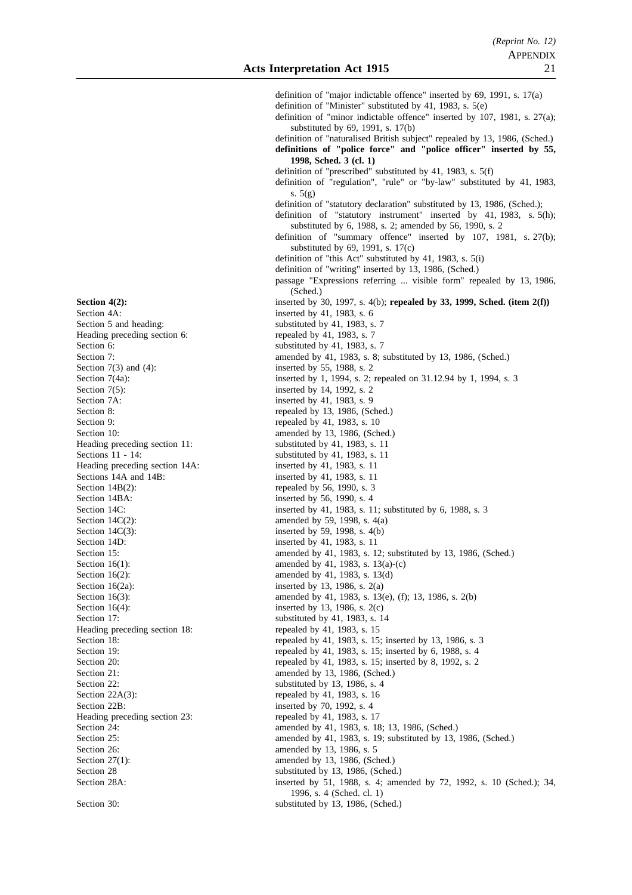definition of "major indictable offence" inserted by 69, 1991, s. 17(a) definition of "Minister" substituted by 41, 1983, s. 5(e) definition of "minor indictable offence" inserted by 107, 1981, s. 27(a); substituted by 69, 1991, s. 17(b) definition of "naturalised British subject" repealed by 13, 1986, (Sched.) **definitions of "police force" and "police officer" inserted by 55, 1998, Sched. 3 (cl. 1)** definition of "prescribed" substituted by 41, 1983, s. 5(f) definition of "regulation", "rule" or "by-law" substituted by 41, 1983, s.  $5(g)$ definition of "statutory declaration" substituted by 13, 1986, (Sched.); definition of "statutory instrument" inserted by 41, 1983, s. 5(h); substituted by 6, 1988, s. 2; amended by 56, 1990, s. 2 definition of "summary offence" inserted by 107, 1981, s. 27(b); substituted by 69, 1991, s. 17(c) definition of "this Act" substituted by 41, 1983, s. 5(i) definition of "writing" inserted by 13, 1986, (Sched.) passage "Expressions referring ... visible form" repealed by 13, 1986, (Sched.) **Section 4(2):** inserted by 30, 1997, s. 4(b); **repealed by 33, 1999, Sched.** (item 2(f)) Section 4A: inserted by 41, 1983, s. 6 Section 5 and heading: substituted by 41, 1983, s. 7<br>Heading preceding section 6: repealed by 41, 1983, s. 7 Section 6: substituted by 41, 1983, s. 7 Section 7: amended by 41, 1983, s. 8; substituted by 13, 1986, (Sched.)<br>Section 7(3) and (4): inserted by 55, 1988, s. 2 Section 7(3) and (4): inserted by 55, 1988, s. 2<br>Section 7(4a): inserted by 1, 1994, s. 2; inserted by 1, 1994, s. 2; repealed on 31.12.94 by 1, 1994, s. 3 Section 7(5):<br>Section 7A: inserted by 14, 1992, s. 2<br>inserted by 41, 1983, s. 9 Section 7A: inserted by 41, 1983, s. 9<br>Section 8: epealed by 13, 1986, (Sc repealed by 13, 1986, (Sched.) Section 9: repealed by 41, 1983, s. 10 Section 10: amended by 13, 1986, (Sched.) Heading preceding section 11: substituted by 41, 1983, s. 11 Sections 11 - 14: substituted by 41, 1983, s. 11 Heading preceding section 14A: inserted by 41, 1983, s. 11 Sections 14A and 14B: inserted by 41, 1983, s. 11 Section  $14B(2)$ : repealed by 56, 1990, s. 3 Section 14BA: inserted by 56, 1990, s. 4 Section 14C: inserted by 41, 1983, s. 11; substituted by 6, 1988, s. 3 Section  $14C(2)$ : amended by 59, 1998, s.  $4(a)$ Section  $14C(3)$ : inserted by 59, 1998, s.  $4(b)$ Section 14D: inserted by 41, 1983, s. 11 Section 15: **amended** by 41, 1983, s. 12; substituted by 13, 1986, (Sched.) Section 16(1): amended by 41, 1983, s. 13(a)-(c) Section 16(2): amended by 41, 1983, s. 13(d) Section  $16(2a)$ : inserted by 13, 1986, s. 2(a) Section 16(3): amended by 41, 1983, s. 13(e), (f); 13, 1986, s. 2(b) Section  $16(4)$ : inserted by 13, 1986, s.  $2(c)$ Section 17: substituted by 41, 1983, s. 14 Heading preceding section 18: repealed by 41, 1983, s. 15 Section 18: repealed by 41, 1983, s. 15; inserted by 13, 1986, s. 3 Section 19: repealed by 41, 1983, s. 15; inserted by 6, 1988, s. 4 Section 20: repealed by 41, 1983, s. 15; inserted by 8, 1992, s. 2 Section 21: amended by 13, 1986, (Sched.)<br>Section 22: substituted by 13, 1986, s. 4 substituted by 13, 1986, s.  $4$ Section 22A(3): repealed by 41, 1983, s. 16 Section 22B: inserted by 70, 1992, s. 4<br>Heading preceding section 23: repealed by 41, 1983, s. 17 Section 24: **amended** by 41, 1983, s. 18; 13, 1986, (Sched.) Section 25: amended by 41, 1983, s. 19; substituted by 13, 1986, (Sched.)<br>Section 26: amended by 13, 1986, s. 5 Section 26: amended by 13, 1986, s. 5<br>Section 27(1): amended by 13, 1986, (Scl amended by 13, 1986, (Sched.) Section 28 substituted by 13, 1986, (Sched.) Section 28A: inserted by 51, 1988, s. 4; amended by 72, 1992, s. 10 (Sched.); 34, 1996, s. 4 (Sched. cl. 1) Section 30: substituted by 13, 1986, (Sched.)

Heading preceding section 6:

Heading preceding section 23: